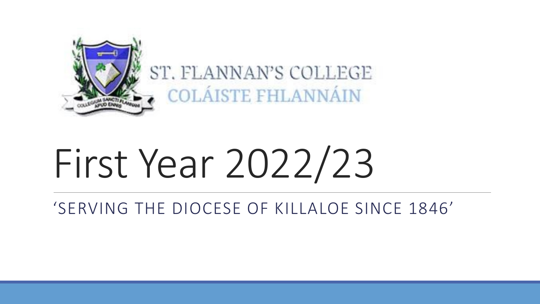

ST. FLANNAN'S COLLEGE COLAISTE FHLANNAIN

# First Year 2022/23

'SERVING THE DIOCESE OF KILLALOE SINCE 1846'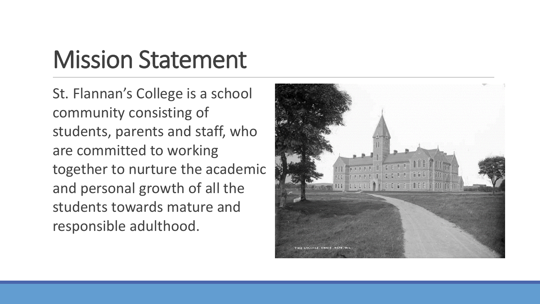## Mission Statement

St. Flannan's College is a school community consisting of students, parents and staff, who are committed to working together to nurture the academic and personal growth of all the students towards mature and responsible adulthood.

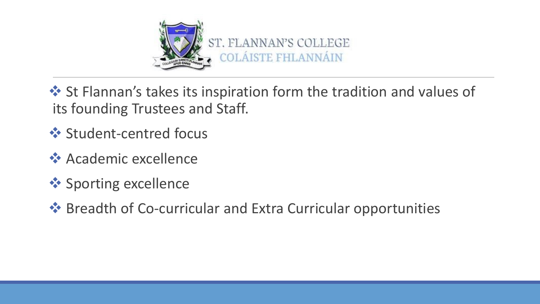

❖ St Flannan's takes its inspiration form the tradition and values of its founding Trustees and Staff.

- ❖ Student-centred focus
- **❖ Academic excellence**
- ❖ Sporting excellence
- ❖ Breadth of Co-curricular and Extra Curricular opportunities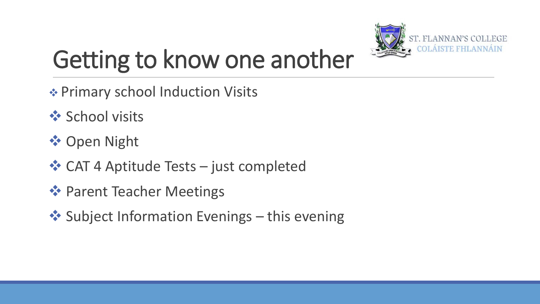

## Getting to know one another

- ❖ Primary school Induction Visits
- **❖ School visits**
- ❖ Open Night
- ❖ CAT 4 Aptitude Tests just completed
- ❖ Parent Teacher Meetings
- ❖ Subject Information Evenings this evening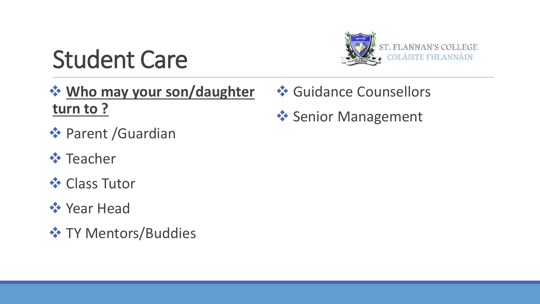

## Student Care

❖ **Who may your son/daughter turn to ?**

- ❖ Parent /Guardian
- ❖ Teacher
- **❖ Class Tutor**
- ❖ Year Head
- **❖ TY Mentors/Buddies**
- **❖ Guidance Counsellors**
- ❖ Senior Management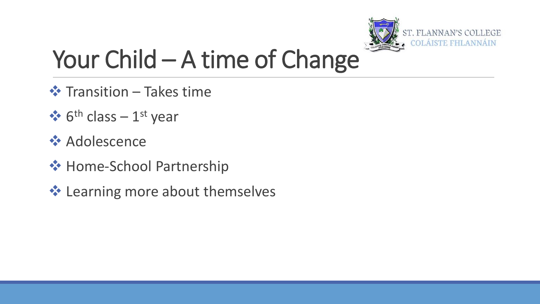

## Your Child – A time of Change

- ❖ Transition Takes time
- $\triangleleft$  6<sup>th</sup> class 1<sup>st</sup> year
- ❖ Adolescence
- ❖ Home-School Partnership
- ❖ Learning more about themselves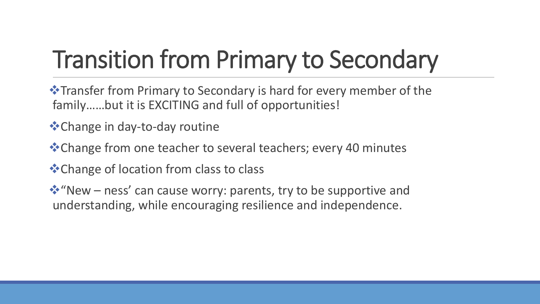## Transition from Primary to Secondary

❖Transfer from Primary to Secondary is hard for every member of the family……but it is EXCITING and full of opportunities!

- ❖Change in day-to-day routine
- ❖Change from one teacher to several teachers; every 40 minutes
- ❖Change of location from class to class

❖"New – ness' can cause worry: parents, try to be supportive and understanding, while encouraging resilience and independence.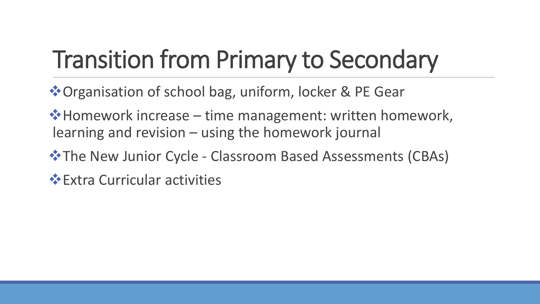## Transition from Primary to Secondary

❖Organisation of school bag, uniform, locker & PE Gear

❖Homework increase – time management: written homework, learning and revision – using the homework journal

❖The New Junior Cycle - Classroom Based Assessments (CBAs)

❖Extra Curricular activities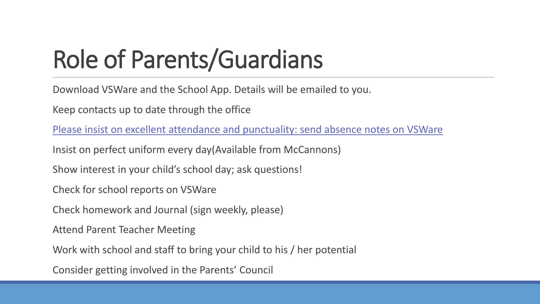## Role of Parents/Guardians

Download VSWare and the School App. Details will be emailed to you.

Keep contacts up to date through the office

Please insist on excellent attendance and punctuality: send absence notes on VSWare

Insist on perfect uniform every day(Available from McCannons)

Show interest in your child's school day; ask questions!

Check for school reports on VSWare

Check homework and Journal (sign weekly, please)

Attend Parent Teacher Meeting

Work with school and staff to bring your child to his / her potential

Consider getting involved in the Parents' Council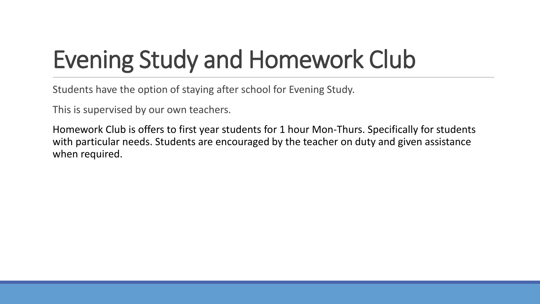## Evening Study and Homework Club

Students have the option of staying after school for Evening Study.

This is supervised by our own teachers.

Homework Club is offers to first year students for 1 hour Mon-Thurs. Specifically for students with particular needs. Students are encouraged by the teacher on duty and given assistance when required.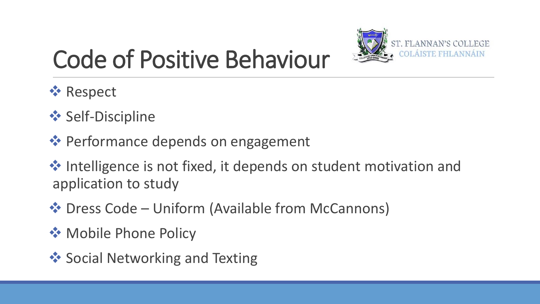

## Code of Positive Behaviour

- ❖ Respect
- **❖ Self-Discipline**
- ❖ Performance depends on engagement
- ❖ Intelligence is not fixed, it depends on student motivation and application to study
- ❖ Dress Code Uniform (Available from McCannons)
- ❖ Mobile Phone Policy
- **❖ Social Networking and Texting**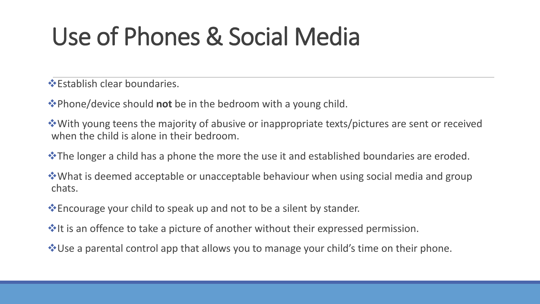## Use of Phones & Social Media

❖Establish clear boundaries.

❖Phone/device should **not** be in the bedroom with a young child.

❖With young teens the majority of abusive or inappropriate texts/pictures are sent or received when the child is alone in their bedroom.

❖The longer a child has a phone the more the use it and established boundaries are eroded.

❖What is deemed acceptable or unacceptable behaviour when using social media and group chats.

❖Encourage your child to speak up and not to be a silent by stander.

**V**It is an offence to take a picture of another without their expressed permission.

❖Use a parental control app that allows you to manage your child's time on their phone.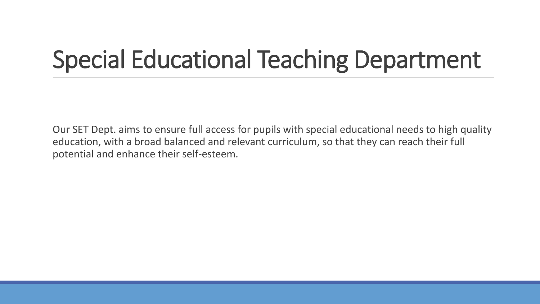## Special Educational Teaching Department

Our SET Dept. aims to ensure full access for pupils with special educational needs to high quality education, with a broad balanced and relevant curriculum, so that they can reach their full potential and enhance their self-esteem.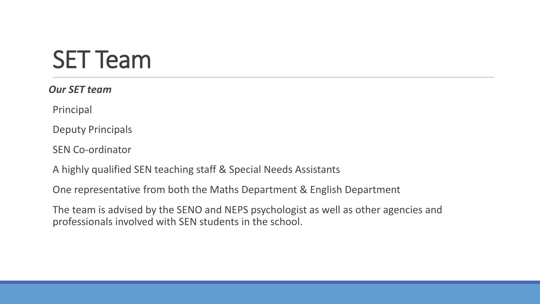## SET Team

*Our SET team* 

Principal

Deputy Principals

SEN Co-ordinator

A highly qualified SEN teaching staff & Special Needs Assistants

One representative from both the Maths Department & English Department

The team is advised by the SENO and NEPS psychologist as well as other agencies and professionals involved with SEN students in the school.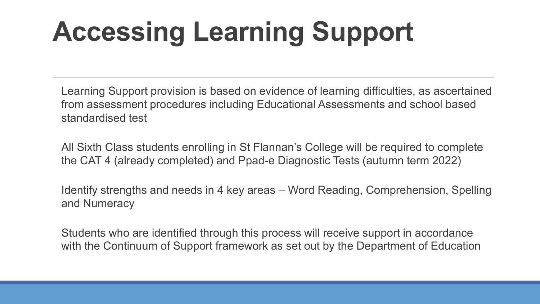## **Accessing Learning Support**

Learning Support provision is based on evidence of learning difficulties, as ascertained from assessment procedures including Educational Assessments and school based standardised test

All Sixth Class students enrolling in St Flannan's College will be required to complete the CAT 4 (already completed) and Ppad-e Diagnostic Tests (autumn term 2022)

Identify strengths and needs in 4 key areas – Word Reading, Comprehension, Spelling and Numeracy

Students who are identified through this process will receive support in accordance with the Continuum of Support framework as set out by the Department of Education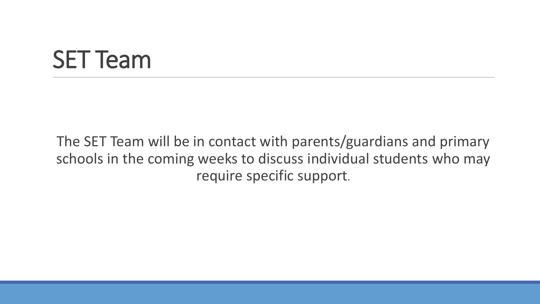## SET Team

The SET Team will be in contact with parents/guardians and primary schools in the coming weeks to discuss individual students who may require specific support.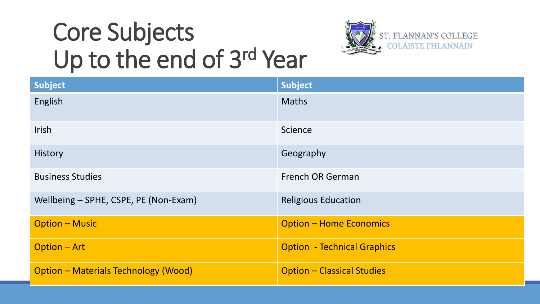## Core Subjects Up to the end of 3rd Year



| Subject                                     | <b>Subject</b>                     |
|---------------------------------------------|------------------------------------|
| English                                     | <b>Maths</b>                       |
| <b>Irish</b>                                | Science                            |
| <b>History</b>                              | Geography                          |
| <b>Business Studies</b>                     | <b>French OR German</b>            |
| Wellbeing - SPHE, CSPE, PE (Non-Exam)       | <b>Religious Education</b>         |
| <b>Option - Music</b>                       | <b>Option - Home Economics</b>     |
| <b>Option - Art</b>                         | <b>Option - Technical Graphics</b> |
| <b>Option - Materials Technology (Wood)</b> | <b>Option - Classical Studies</b>  |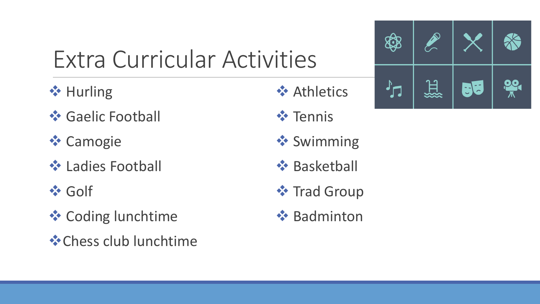## Extra Curricular Activities

- **❖ Hurling**
- **❖ Gaelic Football**
- ❖ Camogie
- **❖ Ladies Football**
- ❖ Golf
- **❖ Coding lunchtime**
- ❖Chess club lunchtime
- ❖ Athletics
- ❖ Tennis
- **❖ Swimming**
- ❖ Basketball
- **❖ Trad Group**
- **❖ Badminton**

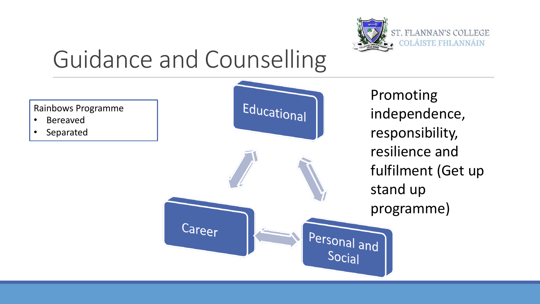

## Guidance and Counselling

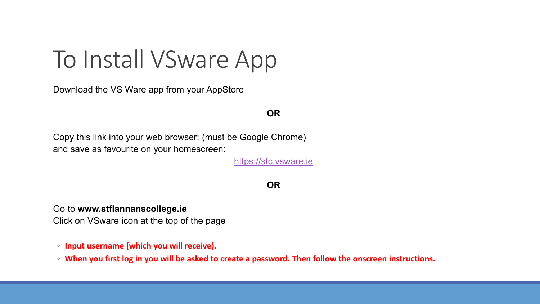## To Install VSware App

Download the VS Ware app from your AppStore

### **OR**

Copy this link into your web browser: (must be Google Chrome) and save as favourite on your homescreen:

[https://sfc.vsware.ie](https://sfc.vsware.ie/)

#### **OR**

Go to **www.stflannanscollege.ie**

Click on VSware icon at the top of the page

- **Input username (which you will receive).**
- **When you first log in you will be asked to create a password. Then follow the onscreen instructions.**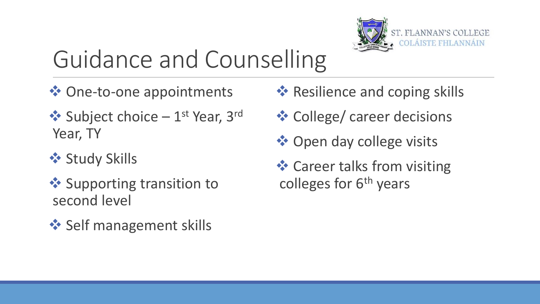

## Guidance and Counselling

- ❖ One-to-one appointments
- ◆ Subject choice 1<sup>st</sup> Year, 3<sup>rd</sup> Year, TY
- ❖ Study Skills
- ❖ Supporting transition to second level
- **❖ Self management skills**
- **❖ Resilience and coping skills**
- ❖ College/ career decisions
- ❖ Open day college visits
- **❖ Career talks from visiting** colleges for  $6<sup>th</sup>$  years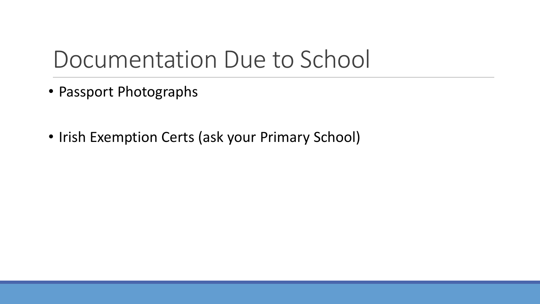### Documentation Due to School

- Passport Photographs
- Irish Exemption Certs (ask your Primary School)